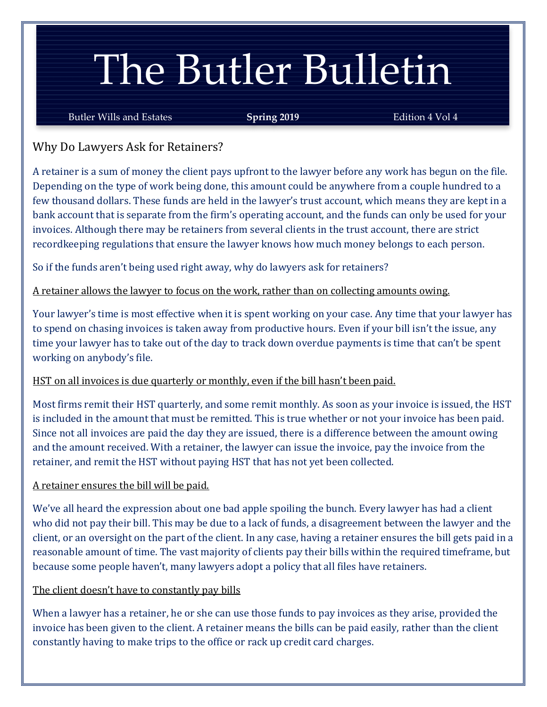# The Butler Bulletin

Butler Wills and Estates **Spring 2019** Edition 4 Vol 4

Why Do Lawyers Ask for Retainers?

A retainer is a sum of money the client pays upfront to the lawyer before any work has begun on the file. Depending on the type of work being done, this amount could be anywhere from a couple hundred to a few thousand dollars. These funds are held in the lawyer's trust account, which means they are kept in a bank account that is separate from the firm's operating account, and the funds can only be used for your invoices. Although there may be retainers from several clients in the trust account, there are strict recordkeeping regulations that ensure the lawyer knows how much money belongs to each person.

So if the funds aren't being used right away, why do lawyers ask for retainers?

A retainer allows the lawyer to focus on the work, rather than on collecting amounts owing.

Your lawyer's time is most effective when it is spent working on your case. Any time that your lawyer has to spend on chasing invoices is taken away from productive hours. Even if your bill isn't the issue, any time your lawyer has to take out of the day to track down overdue payments is time that can't be spent working on anybody's file.

## HST on all invoices is due quarterly or monthly, even if the bill hasn't been paid.

Most firms remit their HST quarterly, and some remit monthly. As soon as your invoice is issued, the HST is included in the amount that must be remitted. This is true whether or not your invoice has been paid. Since not all invoices are paid the day they are issued, there is a difference between the amount owing and the amount received. With a retainer, the lawyer can issue the invoice, pay the invoice from the retainer, and remit the HST without paying HST that has not yet been collected.

## A retainer ensures the bill will be paid.

We've all heard the expression about one bad apple spoiling the bunch. Every lawyer has had a client who did not pay their bill. This may be due to a lack of funds, a disagreement between the lawyer and the client, or an oversight on the part of the client. In any case, having a retainer ensures the bill gets paid in a reasonable amount of time. The vast majority of clients pay their bills within the required timeframe, but because some people haven't, many lawyers adopt a policy that all files have retainers.

## The client doesn't have to constantly pay bills

When a lawyer has a retainer, he or she can use those funds to pay invoices as they arise, provided the invoice has been given to the client. A retainer means the bills can be paid easily, rather than the client constantly having to make trips to the office or rack up credit card charges.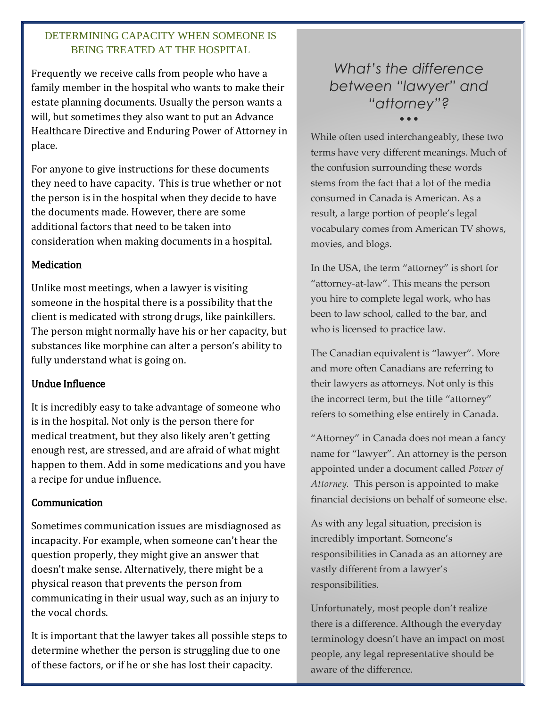#### DETERMINING CAPACITY WHEN SOMEONE IS BEING TREATED AT THE HOSPITAL

Frequently we receive calls from people who have a family member in the hospital who wants to make their estate planning documents. Usually the person wants a will, but sometimes they also want to put an Advance Healthcare Directive and Enduring Power of Attorney in place.

For anyone to give instructions for these documents they need to have capacity. This is true whether or not the person is in the hospital when they decide to have the documents made. However, there are some additional factors that need to be taken into consideration when making documents in a hospital.

#### **Medication**

Unlike most meetings, when a lawyer is visiting someone in the hospital there is a possibility that the client is medicated with strong drugs, like painkillers. The person might normally have his or her capacity, but substances like morphine can alter a person's ability to fully understand what is going on.

#### Undue Influence

It is incredibly easy to take advantage of someone who is in the hospital. Not only is the person there for medical treatment, but they also likely aren't getting enough rest, are stressed, and are afraid of what might happen to them. Add in some medications and you have a recipe for undue influence.

#### Communication

Sometimes communication issues are misdiagnosed as incapacity. For example, when someone can't hear the question properly, they might give an answer that doesn't make sense. Alternatively, there might be a physical reason that prevents the person from communicating in their usual way, such as an injury to the vocal chords.

It is important that the lawyer takes all possible steps to determine whether the person is struggling due to one of these factors, or if he or she has lost their capacity.

# *What's the difference between "lawyer" and "attorney"?* • • •

While often used interchangeably, these two terms have very different meanings. Much of the confusion surrounding these words stems from the fact that a lot of the media consumed in Canada is American. As a result, a large portion of people's legal vocabulary comes from American TV shows, movies, and blogs.

In the USA, the term "attorney" is short for "attorney-at-law". This means the person you hire to complete legal work, who has been to law school, called to the bar, and who is licensed to practice law.

The Canadian equivalent is "lawyer". More and more often Canadians are referring to their lawyers as attorneys. Not only is this the incorrect term, but the title "attorney" refers to something else entirely in Canada.

"Attorney" in Canada does not mean a fancy name for "lawyer". An attorney is the person appointed under a document called *Power of Attorney.* This person is appointed to make financial decisions on behalf of someone else.

As with any legal situation, precision is incredibly important. Someone's responsibilities in Canada as an attorney are vastly different from a lawyer's responsibilities.

Unfortunately, most people don't realize there is a difference. Although the everyday terminology doesn't have an impact on most people, any legal representative should be aware of the difference.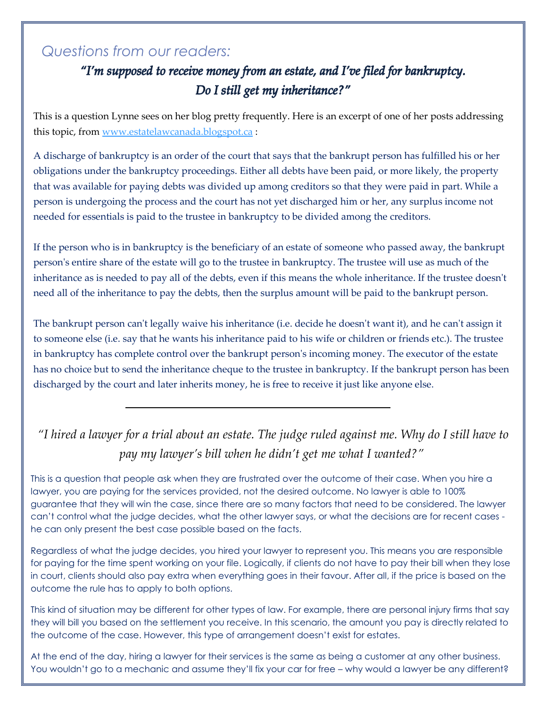# *Questions from our readers:*

# "I'm supposed to receive money from an estate, and I've filed for bankruptcy. Do I still get my inheritance?"

This is a question Lynne sees on her blog pretty frequently. Here is an excerpt of one of her posts addressing this topic, from [www.estatelawcanada.blogspot.ca](http://www.estatelawcanada.blogspot.ca/) :

A discharge of bankruptcy is an order of the court that says that the bankrupt person has fulfilled his or her obligations under the bankruptcy proceedings. Either all debts have been paid, or more likely, the property that was available for paying debts was divided up among creditors so that they were paid in part. While a person is undergoing the process and the court has not yet discharged him or her, any surplus income not needed for essentials is paid to the trustee in bankruptcy to be divided among the creditors.

If the person who is in bankruptcy is the beneficiary of an estate of someone who passed away, the bankrupt person's entire share of the estate will go to the trustee in bankruptcy. The trustee will use as much of the inheritance as is needed to pay all of the debts, even if this means the whole inheritance. If the trustee doesn't need all of the inheritance to pay the debts, then the surplus amount will be paid to the bankrupt person.

The bankrupt person can't legally waive his inheritance (i.e. decide he doesn't want it), and he can't assign it to someone else (i.e. say that he wants his inheritance paid to his wife or children or friends etc.). The trustee in bankruptcy has complete control over the bankrupt person's incoming money. The executor of the estate has no choice but to send the inheritance cheque to the trustee in bankruptcy. If the bankrupt person has been discharged by the court and later inherits money, he is free to receive it just like anyone else.

# *"I hired a lawyer for a trial about an estate. The judge ruled against me. Why do I still have to pay my lawyer's bill when he didn't get me what I wanted?"*

This is a question that people ask when they are frustrated over the outcome of their case. When you hire a lawyer, you are paying for the services provided, not the desired outcome. No lawyer is able to 100% guarantee that they will win the case, since there are so many factors that need to be considered. The lawyer can't control what the judge decides, what the other lawyer says, or what the decisions are for recent cases he can only present the best case possible based on the facts.

Regardless of what the judge decides, you hired your lawyer to represent you. This means you are responsible for paying for the time spent working on your file. Logically, if clients do not have to pay their bill when they lose in court, clients should also pay extra when everything goes in their favour. After all, if the price is based on the outcome the rule has to apply to both options.

This kind of situation may be different for other types of law. For example, there are personal injury firms that say they will bill you based on the settlement you receive. In this scenario, the amount you pay is directly related to the outcome of the case. However, this type of arrangement doesn't exist for estates.

At the end of the day, hiring a lawyer for their services is the same as being a customer at any other business. You wouldn't go to a mechanic and assume they'll fix your car for free – why would a lawyer be any different?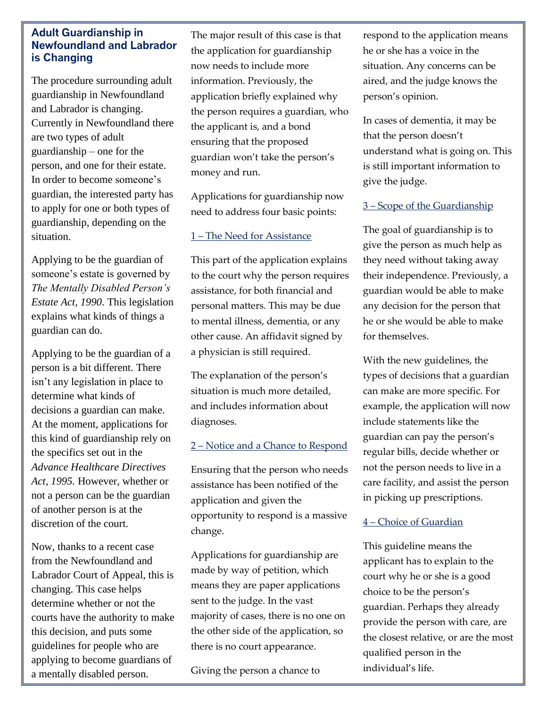#### **Adult Guardianship in Newfoundland and Labrador is Changing**

The procedure surrounding adult guardianship in Newfoundland and Labrador is changing. Currently in Newfoundland there are two types of adult guardianship – one for the person, and one for their estate. In order to become someone's guardian, the interested party has to apply for one or both types of guardianship, depending on the situation.

Applying to be the guardian of someone's estate is governed by *The Mentally Disabled Person's Estate Act, 1990*. This legislation explains what kinds of things a guardian can do.

Applying to be the guardian of a person is a bit different. There isn't any legislation in place to determine what kinds of decisions a guardian can make. At the moment, applications for this kind of guardianship rely on the specifics set out in the *Advance Healthcare Directives Act, 1995.* However, whether or not a person can be the guardian of another person is at the discretion of the court.

Now, thanks to a recent case from the Newfoundland and Labrador Court of Appeal, this is changing. This case helps determine whether or not the courts have the authority to make this decision, and puts some guidelines for people who are applying to become guardians of a mentally disabled person.

The major result of this case is that the application for guardianship now needs to include more information. Previously, the application briefly explained why the person requires a guardian, who the applicant is, and a bond ensuring that the proposed guardian won't take the person's money and run.

Applications for guardianship now need to address four basic points:

#### 1 – The Need for Assistance

This part of the application explains to the court why the person requires assistance, for both financial and personal matters. This may be due to mental illness, dementia, or any other cause. An affidavit signed by a physician is still required.

The explanation of the person's situation is much more detailed, and includes information about diagnoses.

#### 2 – Notice and a Chance to Respond

Ensuring that the person who needs assistance has been notified of the application and given the opportunity to respond is a massive change.

Applications for guardianship are made by way of petition, which means they are paper applications sent to the judge. In the vast majority of cases, there is no one on the other side of the application, so there is no court appearance.

Giving the person a chance to

respondente de la constantidad de la constantidad de la constantidad de la constantidad de la constantidad de<br>La constantidad de la constantidad de la constantidad de la constantidad de la constantidad de la constantidad

respond to the application means he or she has a voice in the situation. Any concerns can be aired, and the judge knows the person's opinion.

In cases of dementia, it may be that the person doesn't understand what is going on. This is still important information to give the judge.

#### 3 – Scope of the Guardianship

The goal of guardianship is to give the person as much help as they need without taking away their independence. Previously, a guardian would be able to make any decision for the person that he or she would be able to make for themselves.

With the new guidelines, the types of decisions that a guardian can make are more specific. For example, the application will now include statements like the guardian can pay the person's regular bills, decide whether or not the person needs to live in a care facility, and assist the person in picking up prescriptions.

#### 4 – Choice of Guardian

This guideline means the applicant has to explain to the court why he or she is a good choice to be the person's guardian. Perhaps they already provide the person with care, are the closest relative, or are the most qualified person in the individual's life.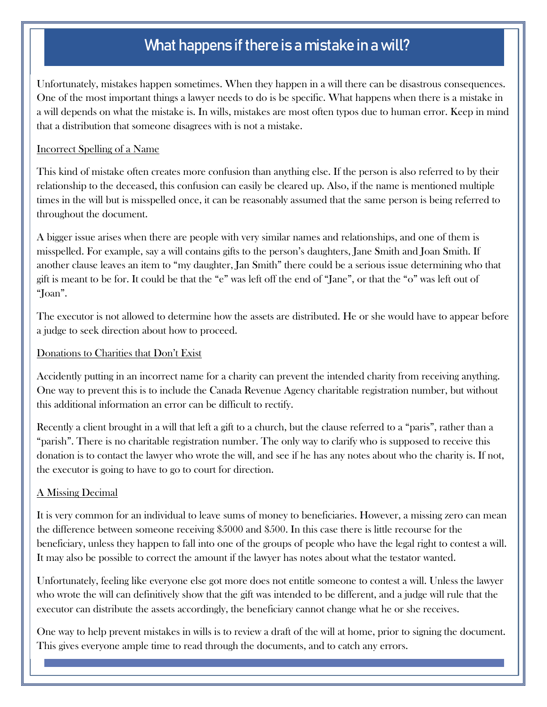# What happens if there is a mistake in a will?

Unfortunately, mistakes happen sometimes. When they happen in a will there can be disastrous consequences. One of the most important things a lawyer needs to do is be specific. What happens when there is a mistake in a will depends on what the mistake is. In wills, mistakes are most often typos due to human error. Keep in mind that a distribution that someone disagrees with is not a mistake.

#### Incorrect Spelling of a Name

This kind of mistake often creates more confusion than anything else. If the person is also referred to by their relationship to the deceased, this confusion can easily be cleared up. Also, if the name is mentioned multiple times in the will but is misspelled once, it can be reasonably assumed that the same person is being referred to throughout the document.

A bigger issue arises when there are people with very similar names and relationships, and one of them is misspelled. For example, say a will contains gifts to the person's daughters, Jane Smith and Joan Smith. If another clause leaves an item to "my daughter, Jan Smith" there could be a serious issue determining who that gift is meant to be for. It could be that the "e" was left off the end of "Jane", or that the "o" was left out of "Joan".

The executor is not allowed to determine how the assets are distributed. He or she would have to appear before a judge to seek direction about how to proceed.

#### Donations to Charities that Don't Exist

Accidently putting in an incorrect name for a charity can prevent the intended charity from receiving anything. One way to prevent this is to include the Canada Revenue Agency charitable registration number, but without this additional information an error can be difficult to rectify.

Recently a client brought in a will that left a gift to a church, but the clause referred to a "paris", rather than a "parish". There is no charitable registration number. The only way to clarify who is supposed to receive this donation is to contact the lawyer who wrote the will, and see if he has any notes about who the charity is. If not, the executor is going to have to go to court for direction.

#### A Missing Decimal

It is very common for an individual to leave sums of money to beneficiaries. However, a missing zero can mean the difference between someone receiving \$5000 and \$500. In this case there is little recourse for the beneficiary, unless they happen to fall into one of the groups of people who have the legal right to contest a will. It may also be possible to correct the amount if the lawyer has notes about what the testator wanted.

Unfortunately, feeling like everyone else got more does not entitle someone to contest a will. Unless the lawyer who wrote the will can definitively show that the gift was intended to be different, and a judge will rule that the executor can distribute the assets accordingly, the beneficiary cannot change what he or she receives.

One way to help prevent mistakes in wills is to review a draft of the will at home, prior to signing the document. This gives everyone ample time to read through the documents, and to catch any errors.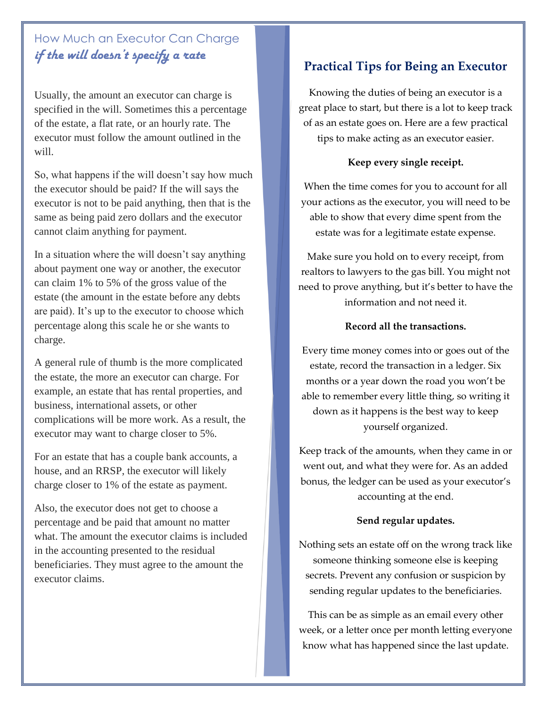# How Much an Executor Can Charge *if the will doesn't specify a rate*

Usually, the amount an executor can charge is specified in the will. Sometimes this a percentage of the estate, a flat rate, or an hourly rate. The executor must follow the amount outlined in the will.

So, what happens if the will doesn't say how much the executor should be paid? If the will says the executor is not to be paid anything, then that is the same as being paid zero dollars and the executor cannot claim anything for payment.

In a situation where the will doesn't say anything about payment one way or another, the executor can claim 1% to 5% of the gross value of the estate (the amount in the estate before any debts are paid). It's up to the executor to choose which percentage along this scale he or she wants to charge.

A general rule of thumb is the more complicated the estate, the more an executor can charge. For example, an estate that has rental properties, and business, international assets, or other complications will be more work. As a result, the executor may want to charge closer to 5%.

For an estate that has a couple bank accounts, a house, and an RRSP, the executor will likely charge closer to 1% of the estate as payment.

Also, the executor does not get to choose a percentage and be paid that amount no matter what. The amount the executor claims is included in the accounting presented to the residual beneficiaries. They must agree to the amount the executor claims.

## **Practical Tips for Being an Executor**

Knowing the duties of being an executor is a great place to start, but there is a lot to keep track of as an estate goes on. Here are a few practical tips to make acting as an executor easier.

#### **Keep every single receipt.**

When the time comes for you to account for all your actions as the executor, you will need to be able to show that every dime spent from the estate was for a legitimate estate expense.

Make sure you hold on to every receipt, from realtors to lawyers to the gas bill. You might not need to prove anything, but it's better to have the information and not need it.

#### **Record all the transactions.**

Every time money comes into or goes out of the estate, record the transaction in a ledger. Six months or a year down the road you won't be able to remember every little thing, so writing it down as it happens is the best way to keep yourself organized.

Keep track of the amounts, when they came in or went out, and what they were for. As an added bonus, the ledger can be used as your executor's accounting at the end.

#### **Send regular updates.**

Nothing sets an estate off on the wrong track like someone thinking someone else is keeping secrets. Prevent any confusion or suspicion by sending regular updates to the beneficiaries.

This can be as simple as an email every other week, or a letter once per month letting everyone know what has happened since the last update.